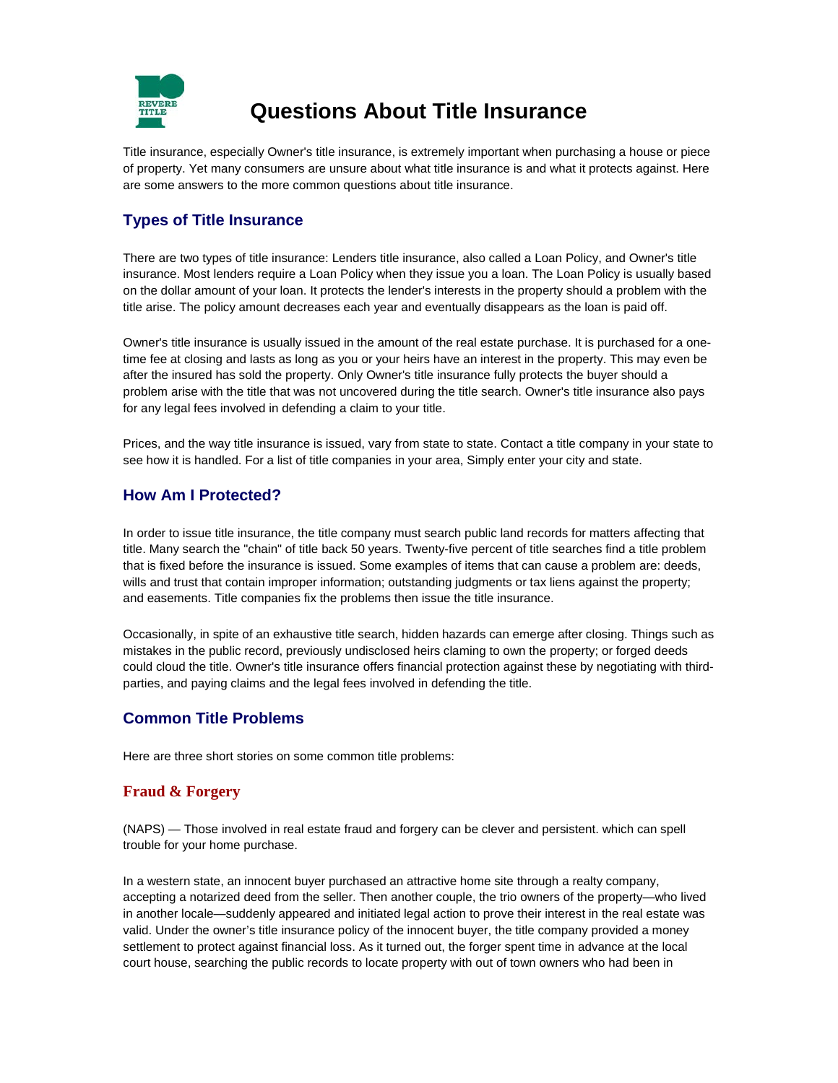

# **Questions About Title Insurance**

Title insurance, especially Owner's title insurance, is extremely important when purchasing a house or piece of property. Yet many consumers are unsure about what title insurance is and what it protects against. Here are some answers to the more common questions about title insurance.

# **Types of Title Insurance**

There are two types of title insurance: Lenders title insurance, also called a Loan Policy, and Owner's title insurance. Most lenders require a Loan Policy when they issue you a loan. The Loan Policy is usually based on the dollar amount of your loan. It protects the lender's interests in the property should a problem with the title arise. The policy amount decreases each year and eventually disappears as the loan is paid off.

Owner's title insurance is usually issued in the amount of the real estate purchase. It is purchased for a onetime fee at closing and lasts as long as you or your heirs have an interest in the property. This may even be after the insured has sold the property. Only Owner's title insurance fully protects the buyer should a problem arise with the title that was not uncovered during the title search. Owner's title insurance also pays for any legal fees involved in defending a claim to your title.

Prices, and the way title insurance is issued, vary from state to state. Contact a title company in your state to see how it is handled. For a list of title companies in your area, Simply enter your city and state.

## **How Am I Protected?**

In order to issue title insurance, the title company must search public land records for matters affecting that title. Many search the "chain" of title back 50 years. Twenty-five percent of title searches find a title problem that is fixed before the insurance is issued. Some examples of items that can cause a problem are: deeds, wills and trust that contain improper information; outstanding judgments or tax liens against the property; and easements. Title companies fix the problems then issue the title insurance.

Occasionally, in spite of an exhaustive title search, hidden hazards can emerge after closing. Things such as mistakes in the public record, previously undisclosed heirs claming to own the property; or forged deeds could cloud the title. Owner's title insurance offers financial protection against these by negotiating with thirdparties, and paying claims and the legal fees involved in defending the title.

## **Common Title Problems**

Here are three short stories on some common title problems:

#### **Fraud & Forgery**

(NAPS) — Those involved in real estate fraud and forgery can be clever and persistent. which can spell trouble for your home purchase.

In a western state, an innocent buyer purchased an attractive home site through a realty company, accepting a notarized deed from the seller. Then another couple, the trio owners of the property—who lived in another locale—suddenly appeared and initiated legal action to prove their interest in the real estate was valid. Under the owner's title insurance policy of the innocent buyer, the title company provided a money settlement to protect against financial loss. As it turned out, the forger spent time in advance at the local court house, searching the public records to locate property with out of town owners who had been in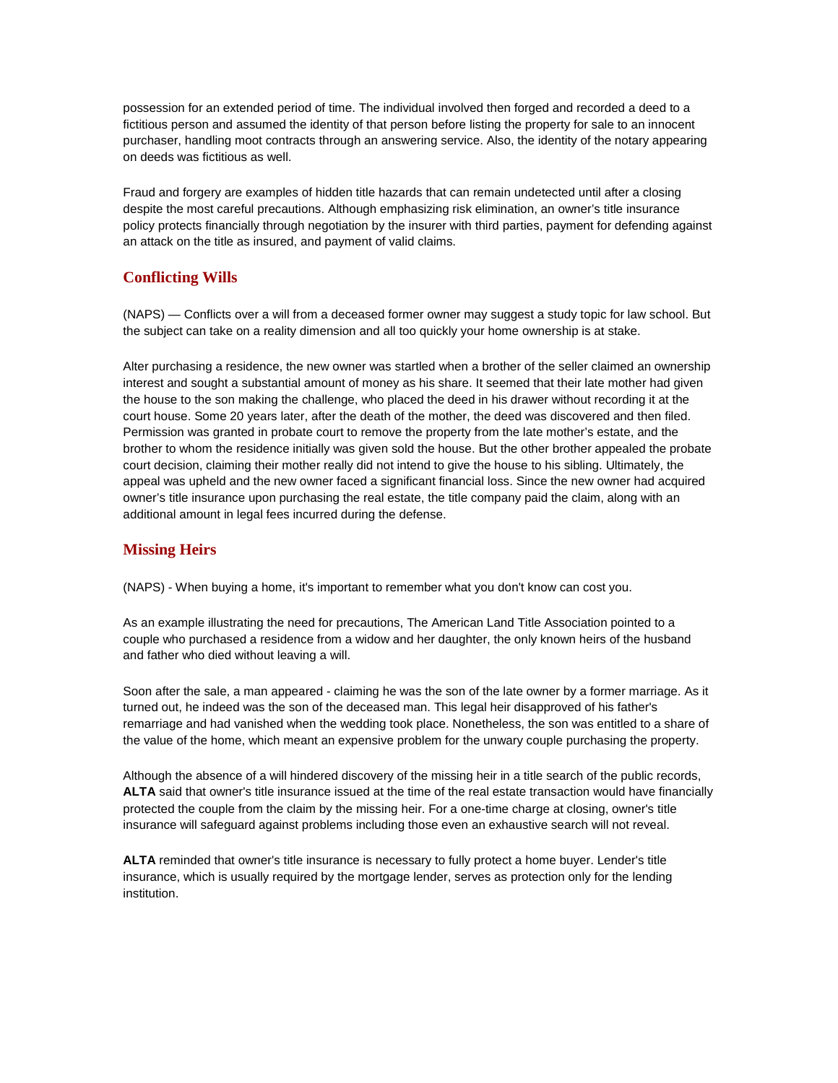possession for an extended period of time. The individual involved then forged and recorded a deed to a fictitious person and assumed the identity of that person before listing the property for sale to an innocent purchaser, handling moot contracts through an answering service. Also, the identity of the notary appearing on deeds was fictitious as well.

Fraud and forgery are examples of hidden title hazards that can remain undetected until after a closing despite the most careful precautions. Although emphasizing risk elimination, an owner's title insurance policy protects financially through negotiation by the insurer with third parties, payment for defending against an attack on the title as insured, and payment of valid claims.

## **Conflicting Wills**

(NAPS) — Conflicts over a will from a deceased former owner may suggest a study topic for law school. But the subject can take on a reality dimension and all too quickly your home ownership is at stake.

Alter purchasing a residence, the new owner was startled when a brother of the seller claimed an ownership interest and sought a substantial amount of money as his share. It seemed that their late mother had given the house to the son making the challenge, who placed the deed in his drawer without recording it at the court house. Some 20 years later, after the death of the mother, the deed was discovered and then filed. Permission was granted in probate court to remove the property from the late mother's estate, and the brother to whom the residence initially was given sold the house. But the other brother appealed the probate court decision, claiming their mother really did not intend to give the house to his sibling. Ultimately, the appeal was upheld and the new owner faced a significant financial loss. Since the new owner had acquired owner's title insurance upon purchasing the real estate, the title company paid the claim, along with an additional amount in legal fees incurred during the defense.

#### **Missing Heirs**

(NAPS) - When buying a home, it's important to remember what you don't know can cost you.

As an example illustrating the need for precautions, The American Land Title Association pointed to a couple who purchased a residence from a widow and her daughter, the only known heirs of the husband and father who died without leaving a will.

Soon after the sale, a man appeared - claiming he was the son of the late owner by a former marriage. As it turned out, he indeed was the son of the deceased man. This legal heir disapproved of his father's remarriage and had vanished when the wedding took place. Nonetheless, the son was entitled to a share of the value of the home, which meant an expensive problem for the unwary couple purchasing the property.

Although the absence of a will hindered discovery of the missing heir in a title search of the public records, **ALTA** said that owner's title insurance issued at the time of the real estate transaction would have financially protected the couple from the claim by the missing heir. For a one-time charge at closing, owner's title insurance will safeguard against problems including those even an exhaustive search will not reveal.

**ALTA** reminded that owner's title insurance is necessary to fully protect a home buyer. Lender's title insurance, which is usually required by the mortgage lender, serves as protection only for the lending institution.